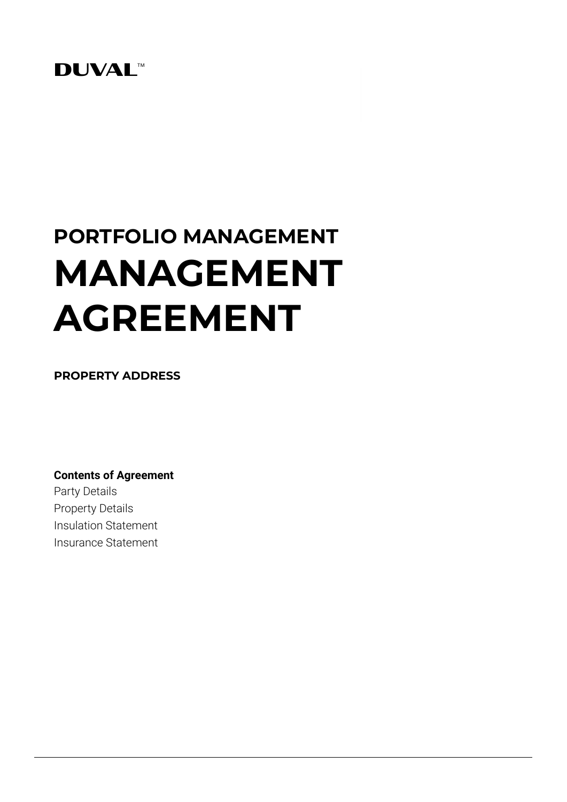## **DUVAL**<sup>M</sup>

# **PORTFOLIO MANAGEMENT MANAGEMENT AGREEMENT**

**PROPERTY ADDRESS**

**Contents of Agreement** Party Details Property Details Insulation Statement Insurance Statement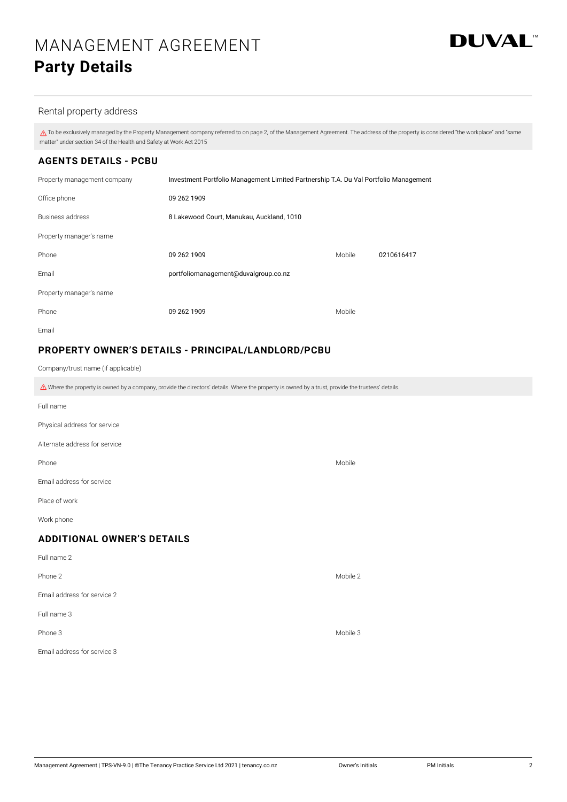

## Rental property address

 $\triangle$  To be exclusively managed by the Property Management company referred to on page 2, of the Management Agreement. The address of the property is considered "the workplace" and "same matter" under section 34 of the Health and Safety at Work Act 2015

## **AGENTS DETAILS - PCBU**

| Property management company | Investment Portfolio Management Limited Partnership T.A. Du Val Portfolio Management |        |            |  |  |
|-----------------------------|--------------------------------------------------------------------------------------|--------|------------|--|--|
| Office phone                | 09 262 1909                                                                          |        |            |  |  |
| Business address            | 8 Lakewood Court, Manukau, Auckland, 1010                                            |        |            |  |  |
| Property manager's name     |                                                                                      |        |            |  |  |
| Phone                       | 09 262 1909                                                                          | Mobile | 0210616417 |  |  |
| Email                       | portfoliomanagement@duvalgroup.co.nz                                                 |        |            |  |  |
| Property manager's name     |                                                                                      |        |            |  |  |
| Phone                       | 09 262 1909                                                                          | Mobile |            |  |  |
| Fmail                       |                                                                                      |        |            |  |  |

## **PROPERTY OWNER'S DETAILS - PRINCIPAL/LANDLORD/PCBU**

Company/trust name (if applicable)

 $\triangle$  Where the property is owned by a company, provide the directors' details. Where the property is owned by a trust, provide the trustees' details.

| Full name                         |          |  |  |  |  |  |  |
|-----------------------------------|----------|--|--|--|--|--|--|
| Physical address for service      |          |  |  |  |  |  |  |
| Alternate address for service     |          |  |  |  |  |  |  |
| Phone                             | Mobile   |  |  |  |  |  |  |
| Email address for service         |          |  |  |  |  |  |  |
| Place of work                     |          |  |  |  |  |  |  |
| Work phone                        |          |  |  |  |  |  |  |
| <b>ADDITIONAL OWNER'S DETAILS</b> |          |  |  |  |  |  |  |
| Full name 2                       |          |  |  |  |  |  |  |
| Phone 2                           | Mobile 2 |  |  |  |  |  |  |
| Email address for service 2       |          |  |  |  |  |  |  |
| Full name 3                       |          |  |  |  |  |  |  |
| Phone 3                           | Mobile 3 |  |  |  |  |  |  |
| Email address for service 3       |          |  |  |  |  |  |  |
|                                   |          |  |  |  |  |  |  |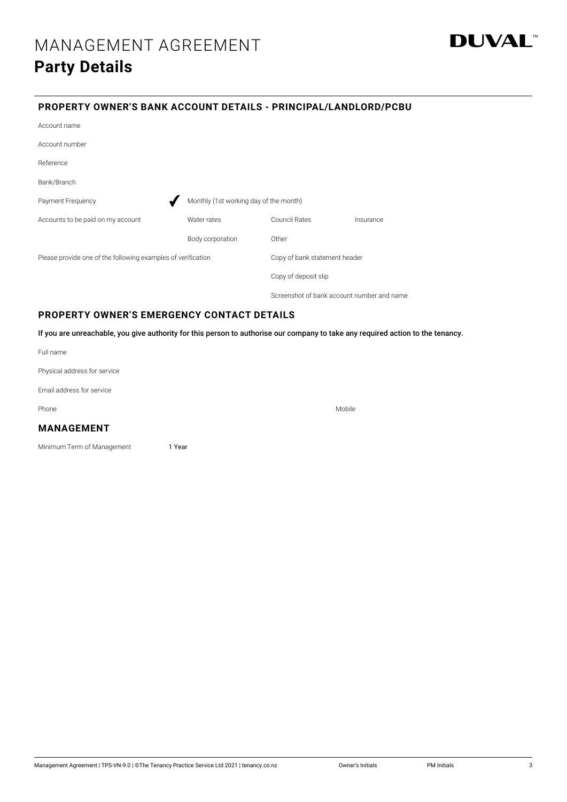

## **PROPERTY OWNER'S BANK ACCOUNT DETAILS - PRINCIPAL/LANDLORD/PCBU**

| Account name                                                 |                                        |                               |           |  |
|--------------------------------------------------------------|----------------------------------------|-------------------------------|-----------|--|
| Account number                                               |                                        |                               |           |  |
| Reference                                                    |                                        |                               |           |  |
| Bank/Branch                                                  |                                        |                               |           |  |
| Payment Frequency                                            | Monthly (1st working day of the month) |                               |           |  |
| Accounts to be paid on my account                            | Water rates                            | <b>Council Rates</b>          | Insurance |  |
|                                                              | Body corporation                       | Other                         |           |  |
| Please provide one of the following examples of verification |                                        | Copy of bank statement header |           |  |
|                                                              |                                        | Copy of deposit slip          |           |  |
|                                                              |                                        |                               |           |  |

## **PROPERTY OWNER'S EMERGENCY CONTACT DETAILS**

If you are unreachable, you give authority for this person to authorise our company to take any required action to the tenancy.

Screenshot of bank account number and name

Full name

Physical address for service

Email address for service

Phone Mobile Research and the contract of the contract of the contract of the contract of the Mobile Research

## **MANAGEMENT**

Minimum Term of Management 1 Year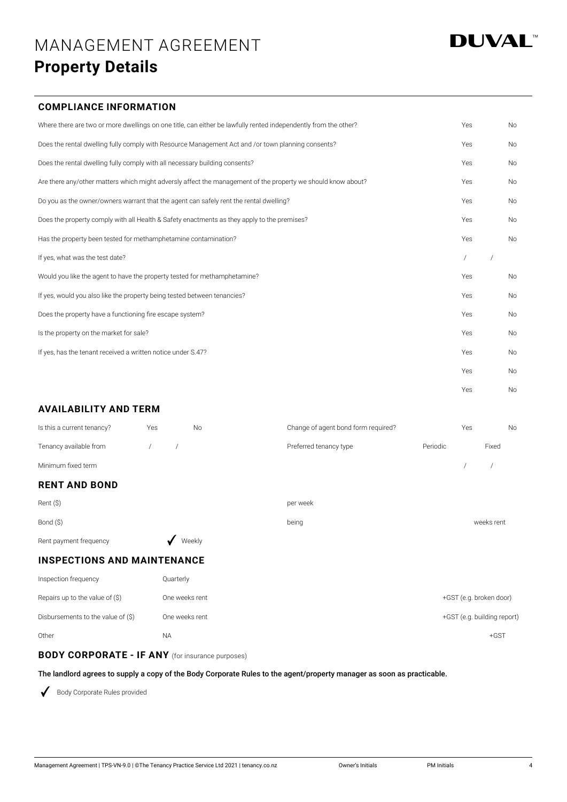## **DUVAL**

## **COMPLIANCE INFORMATION**

| Where there are two or more dwellings on one title, can either be lawfully rented independently from the other? | Yes | <b>No</b> |
|-----------------------------------------------------------------------------------------------------------------|-----|-----------|
| Does the rental dwelling fully comply with Resource Management Act and /or town planning consents?              | Yes | <b>No</b> |
| Does the rental dwelling fully comply with all necessary building consents?                                     | Yes | <b>No</b> |
| Are there any/other matters which might adversly affect the management of the property we should know about?    | Yes | <b>No</b> |
| Do you as the owner/owners warrant that the agent can safely rent the rental dwelling?                          | Yes | <b>No</b> |
| Does the property comply with all Health & Safety enactments as they apply to the premises?                     | Yes | <b>No</b> |
| Has the property been tested for methamphetamine contamination?                                                 | Yes | <b>No</b> |
| If yes, what was the test date?                                                                                 |     |           |
| Would you like the agent to have the property tested for methamphetamine?                                       | Yes | <b>No</b> |
| If yes, would you also like the property being tested between tenancies?                                        | Yes | No        |
| Does the property have a functioning fire escape system?                                                        | Yes | <b>No</b> |
| Is the property on the market for sale?                                                                         | Yes | <b>No</b> |
| If yes, has the tenant received a written notice under S.47?                                                    | Yes | <b>No</b> |
|                                                                                                                 | Yes | <b>No</b> |
|                                                                                                                 | Yes | No        |

## **AVAILABILITY AND TERM**

| <b>RENT AND BOND</b>       |     |    |                                     |          |     |       |     |
|----------------------------|-----|----|-------------------------------------|----------|-----|-------|-----|
| Minimum fixed term         |     |    |                                     |          |     |       |     |
| Tenancy available from     |     |    | Preferred tenancy type              | Periodic |     | Fixed |     |
| Is this a current tenancy? | Yes | Νo | Change of agent bond form required? |          | Yes |       | No. |

| Rent (\$)              |        | per week |            |
|------------------------|--------|----------|------------|
| Bond (\$)              |        | being    | weeks rent |
| Rent payment frequency | Weekly |          |            |

## **INSPECTIONS AND MAINTENANCE**

| Inspection frequency               | Quarterly      |                             |
|------------------------------------|----------------|-----------------------------|
| Repairs up to the value of $(\$)$  | One weeks rent | +GST (e.g. broken door)     |
| Disbursements to the value of (\$) | One weeks rent | +GST (e.g. building report) |
| Other                              | <b>NA</b>      | $+GST$                      |

## **BODY CORPORATE - IF ANY** (for insurance purposes)

The landlord agrees to supply a copy of the Body Corporate Rules to the agent/property manager as soon as practicable.

Body Corporate Rules provided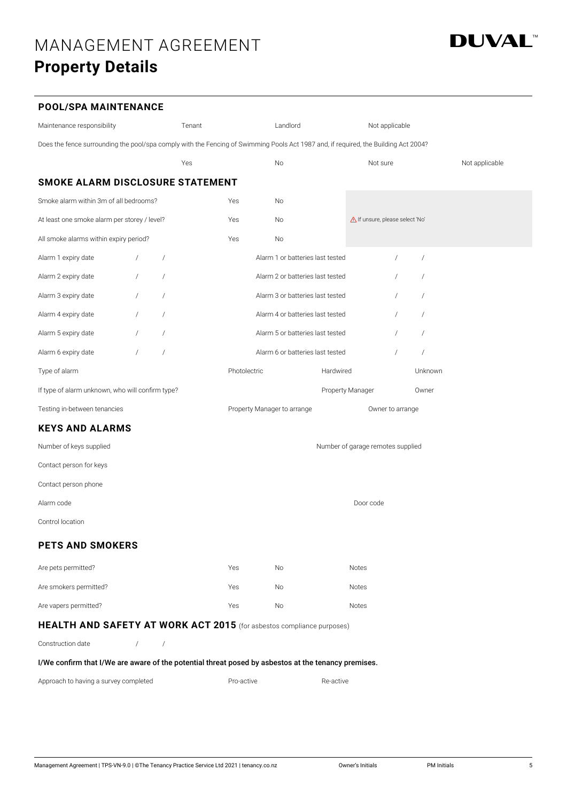

## **POOL/SPA MAINTENANCE**

| Maintenance responsibility                                                                                                          |            |                | Tenant |              | Landlord                         |           | Not applicable                    |                |                |
|-------------------------------------------------------------------------------------------------------------------------------------|------------|----------------|--------|--------------|----------------------------------|-----------|-----------------------------------|----------------|----------------|
| Does the fence surrounding the pool/spa comply with the Fencing of Swimming Pools Act 1987 and, if required, the Building Act 2004? |            |                |        |              |                                  |           |                                   |                |                |
|                                                                                                                                     |            |                | Yes    |              | No                               |           | Not sure                          |                | Not applicable |
| SMOKE ALARM DISCLOSURE STATEMENT                                                                                                    |            |                |        |              |                                  |           |                                   |                |                |
| Smoke alarm within 3m of all bedrooms?                                                                                              |            |                |        | Yes          | No                               |           |                                   |                |                |
| At least one smoke alarm per storey / level?                                                                                        |            |                |        | Yes          | No                               |           | If unsure, please select 'No'     |                |                |
| All smoke alarms within expiry period?                                                                                              |            |                |        | Yes          | No                               |           |                                   |                |                |
| Alarm 1 expiry date                                                                                                                 |            | $\sqrt{2}$     |        |              | Alarm 1 or batteries last tested |           | $\prime$                          | $\sqrt{2}$     |                |
| Alarm 2 expiry date                                                                                                                 |            | $\sqrt{2}$     |        |              | Alarm 2 or batteries last tested |           |                                   | $\overline{1}$ |                |
| Alarm 3 expiry date                                                                                                                 |            | $\prime$       |        |              | Alarm 3 or batteries last tested |           |                                   | $\prime$       |                |
| Alarm 4 expiry date                                                                                                                 |            | $\sqrt{2}$     |        |              | Alarm 4 or batteries last tested |           |                                   | $\sqrt{2}$     |                |
| Alarm 5 expiry date                                                                                                                 |            | $\sqrt{2}$     |        |              | Alarm 5 or batteries last tested |           |                                   | $\prime$       |                |
| Alarm 6 expiry date                                                                                                                 |            | $\prime$       |        |              | Alarm 6 or batteries last tested |           |                                   | $\bigg)$       |                |
| Type of alarm                                                                                                                       |            |                |        | Photolectric |                                  | Hardwired |                                   | Unknown        |                |
| If type of alarm unknown, who will confirm type?                                                                                    |            |                |        |              |                                  |           | <b>Property Manager</b>           | Owner          |                |
| Testing in-between tenancies                                                                                                        |            |                |        |              | Property Manager to arrange      |           | Owner to arrange                  |                |                |
| <b>KEYS AND ALARMS</b>                                                                                                              |            |                |        |              |                                  |           |                                   |                |                |
| Number of keys supplied                                                                                                             |            |                |        |              |                                  |           | Number of garage remotes supplied |                |                |
| Contact person for keys                                                                                                             |            |                |        |              |                                  |           |                                   |                |                |
| Contact person phone                                                                                                                |            |                |        |              |                                  |           |                                   |                |                |
| Alarm code                                                                                                                          |            |                |        |              |                                  |           | Door code                         |                |                |
| Control location                                                                                                                    |            |                |        |              |                                  |           |                                   |                |                |
| <b>PETS AND SMOKERS</b>                                                                                                             |            |                |        |              |                                  |           |                                   |                |                |
| Are pets permitted?                                                                                                                 |            |                |        | Yes          | No                               |           | Notes                             |                |                |
| Are smokers permitted?                                                                                                              |            |                |        | Yes          | No                               |           | Notes                             |                |                |
| Are vapers permitted?                                                                                                               |            |                |        | Yes          | No                               |           | Notes                             |                |                |
| <b>HEALTH AND SAFETY AT WORK ACT 2015</b> (for asbestos compliance purposes)                                                        |            |                |        |              |                                  |           |                                   |                |                |
| Construction date                                                                                                                   | $\sqrt{2}$ | $\overline{1}$ |        |              |                                  |           |                                   |                |                |
| I/We confirm that I/We are aware of the potential threat posed by asbestos at the tenancy premises.                                 |            |                |        |              |                                  |           |                                   |                |                |
| Approach to having a survey completed                                                                                               |            |                |        | Pro-active   |                                  | Re-active |                                   |                |                |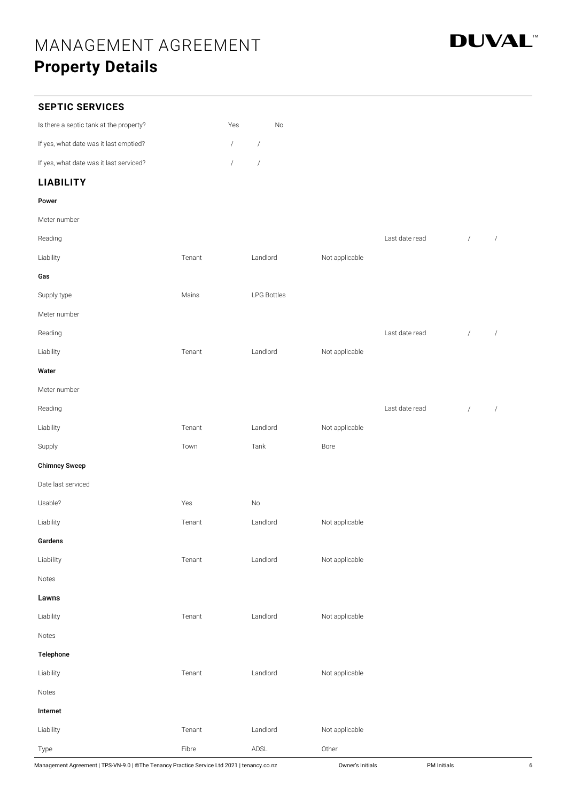

## **SEPTIC SERVICES**

| Is there a septic tank at the property? | Yes        | No |
|-----------------------------------------|------------|----|
| If yes, what date was it last emptied?  | $\sqrt{2}$ |    |
| If yes, what date was it last serviced? |            |    |

## **LIABILITY**

Meter number

| Reading              |        |                    |                | Last date read | $\sqrt{ }$ | $\sqrt{ }$           |
|----------------------|--------|--------------------|----------------|----------------|------------|----------------------|
| Liability            | Tenant | Landlord           | Not applicable |                |            |                      |
| Gas                  |        |                    |                |                |            |                      |
| Supply type          | Mains  | <b>LPG Bottles</b> |                |                |            |                      |
| Meter number         |        |                    |                |                |            |                      |
| Reading              |        |                    |                | Last date read | $\sqrt{ }$ | $\sqrt{\phantom{a}}$ |
| Liability            | Tenant | Landlord           | Not applicable |                |            |                      |
| Water                |        |                    |                |                |            |                      |
| Meter number         |        |                    |                |                |            |                      |
| Reading              |        |                    |                | Last date read | $\sqrt{ }$ | $\sqrt{ }$           |
| Liability            | Tenant | Landlord           | Not applicable |                |            |                      |
| Supply               | Town   | Tank               | Bore           |                |            |                      |
| <b>Chimney Sweep</b> |        |                    |                |                |            |                      |
| Date last serviced   |        |                    |                |                |            |                      |
| Usable?              | Yes    | $\mathsf{No}$      |                |                |            |                      |
| Liability            | Tenant | Landlord           | Not applicable |                |            |                      |
| Gardens              |        |                    |                |                |            |                      |
| Liability            | Tenant | Landlord           | Not applicable |                |            |                      |
| Notes                |        |                    |                |                |            |                      |
| Lawns                |        |                    |                |                |            |                      |
| Liability            | Tenant | Landlord           | Not applicable |                |            |                      |
| Notes                |        |                    |                |                |            |                      |
| Telephone            |        |                    |                |                |            |                      |
| Liability            | Tenant | Landlord           | Not applicable |                |            |                      |
| Notes                |        |                    |                |                |            |                      |
| Internet             |        |                    |                |                |            |                      |

Liability **Contract Contract Contract Contract Contract Contract Contract Contract Contract Contract Contract Contract Contract Contract Contract Contract Contract Contract Contract Contract Contract Contract Contract Cont** 

Type Fibre ADSL Other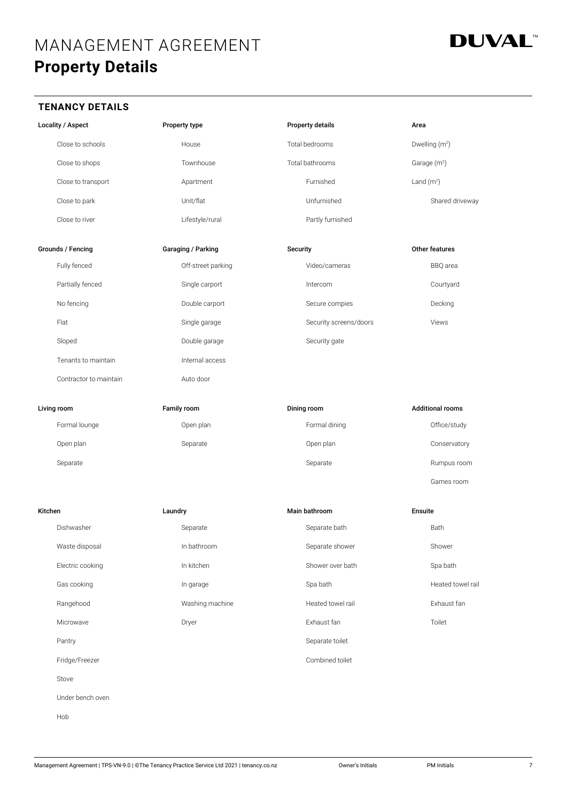

## **TENANCY DETAILS**

| Locality / Aspect |                        | Property type |                    | <b>Property details</b> |                        |                | Area                       |  |
|-------------------|------------------------|---------------|--------------------|-------------------------|------------------------|----------------|----------------------------|--|
|                   | Close to schools       |               | House              |                         | Total bedrooms         |                | Dwelling (m <sup>2</sup> ) |  |
|                   | Close to shops         |               | Townhouse          |                         | Total bathrooms        |                | Garage (m <sup>2</sup> )   |  |
|                   | Close to transport     |               | Apartment          |                         | Furnished              | Land $(m2)$    |                            |  |
|                   | Close to park          |               | Unit/flat          |                         | Unfurnished            |                | Shared driveway            |  |
|                   | Close to river         |               | Lifestyle/rural    |                         | Partly furnished       |                |                            |  |
|                   | Grounds / Fencing      |               | Garaging / Parking | Security                |                        |                | Other features             |  |
|                   | Fully fenced           |               | Off-street parking |                         | Video/cameras          |                | BBQ area                   |  |
|                   | Partially fenced       |               | Single carport     |                         | Intercom               |                | Courtyard                  |  |
|                   | No fencing             |               | Double carport     |                         | Secure compies         |                | Decking                    |  |
|                   | Flat                   |               | Single garage      |                         | Security screens/doors |                | Views                      |  |
|                   | Sloped                 |               | Double garage      |                         | Security gate          |                |                            |  |
|                   | Tenants to maintain    |               | Internal access    |                         |                        |                |                            |  |
|                   | Contractor to maintain |               | Auto door          |                         |                        |                |                            |  |
|                   |                        |               |                    |                         |                        |                |                            |  |
|                   | Living room            |               | <b>Family room</b> |                         | Dining room            |                | <b>Additional rooms</b>    |  |
|                   | Formal lounge          |               | Open plan          |                         | Formal dining          |                | Office/study               |  |
|                   | Open plan              |               | Separate           |                         | Open plan              |                | Conservatory               |  |
|                   | Separate               |               |                    |                         | Separate               |                | Rumpus room                |  |
|                   |                        |               |                    |                         |                        |                | Games room                 |  |
| Kitchen           |                        | Laundry       |                    |                         | Main bathroom          | <b>Ensuite</b> |                            |  |
|                   | Dishwasher             |               | Separate           |                         | Separate bath          |                | Bath                       |  |
|                   | Waste disposal         |               | In bathroom        |                         | Separate shower        |                | Shower                     |  |
|                   | Electric cooking       |               | In kitchen         |                         | Shower over bath       |                | Spa bath                   |  |
|                   | Gas cooking            |               | In garage          |                         | Spa bath               |                | Heated towel rail          |  |
|                   | Rangehood              |               | Washing machine    |                         | Heated towel rail      |                | Exhaust fan                |  |
|                   | Microwave              |               | Dryer              |                         | Exhaust fan            |                | Toilet                     |  |
|                   | Pantry                 |               |                    |                         | Separate toilet        |                |                            |  |
|                   | Fridge/Freezer         |               |                    |                         | Combined toilet        |                |                            |  |
|                   | Stove                  |               |                    |                         |                        |                |                            |  |
|                   | Under bench oven       |               |                    |                         |                        |                |                            |  |
|                   | Hob                    |               |                    |                         |                        |                |                            |  |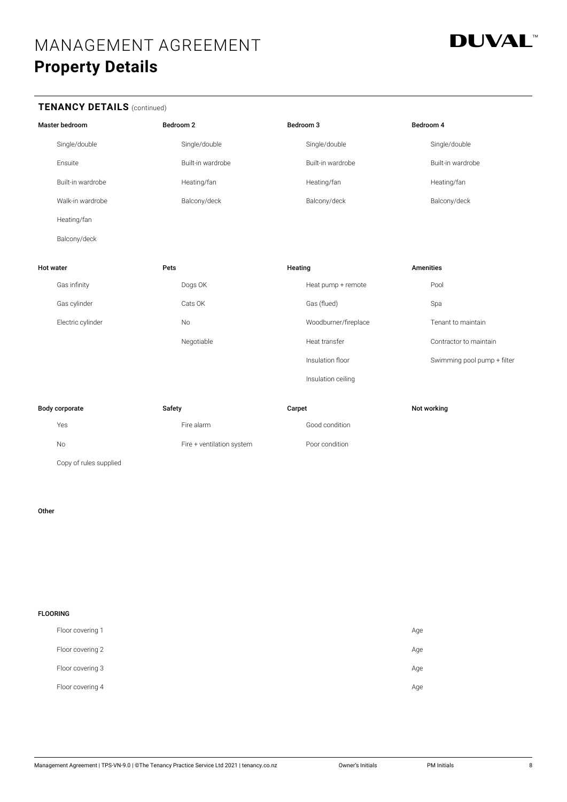

## **TENANCY DETAILS** (continued)

|                  | Master bedroom         | Bedroom <sub>2</sub> |                           | Bedroom 3 |                      | Bedroom 4        |                             |
|------------------|------------------------|----------------------|---------------------------|-----------|----------------------|------------------|-----------------------------|
|                  | Single/double          |                      | Single/double             |           | Single/double        |                  | Single/double               |
|                  | Ensuite                |                      | Built-in wardrobe         |           | Built-in wardrobe    |                  | Built-in wardrobe           |
|                  | Built-in wardrobe      |                      | Heating/fan               |           | Heating/fan          |                  | Heating/fan                 |
|                  | Walk-in wardrobe       |                      | Balcony/deck              |           | Balcony/deck         |                  | Balcony/deck                |
|                  | Heating/fan            |                      |                           |           |                      |                  |                             |
|                  | Balcony/deck           |                      |                           |           |                      |                  |                             |
| <b>Hot water</b> |                        | Pets                 |                           | Heating   |                      | <b>Amenities</b> |                             |
|                  | Gas infinity           |                      | Dogs OK                   |           | Heat pump + remote   |                  | Pool                        |
|                  | Gas cylinder           |                      | Cats OK                   |           | Gas (flued)          |                  | Spa                         |
|                  | Electric cylinder      |                      | <b>No</b>                 |           | Woodburner/fireplace |                  | Tenant to maintain          |
|                  |                        |                      | Negotiable                |           | Heat transfer        |                  | Contractor to maintain      |
|                  |                        |                      |                           |           | Insulation floor     |                  | Swimming pool pump + filter |
|                  |                        |                      |                           |           | Insulation ceiling   |                  |                             |
|                  | Body corporate         | Safety               |                           | Carpet    |                      |                  | Not working                 |
|                  | Yes                    |                      | Fire alarm                |           | Good condition       |                  |                             |
|                  | <b>No</b>              |                      | Fire + ventilation system |           | Poor condition       |                  |                             |
|                  | Copy of rules supplied |                      |                           |           |                      |                  |                             |

## Other

| <b>FLOORING</b> |                  |     |
|-----------------|------------------|-----|
|                 | Floor covering 1 | Age |
|                 | Floor covering 2 | Age |
|                 | Floor covering 3 | Age |
|                 | Floor covering 4 | Age |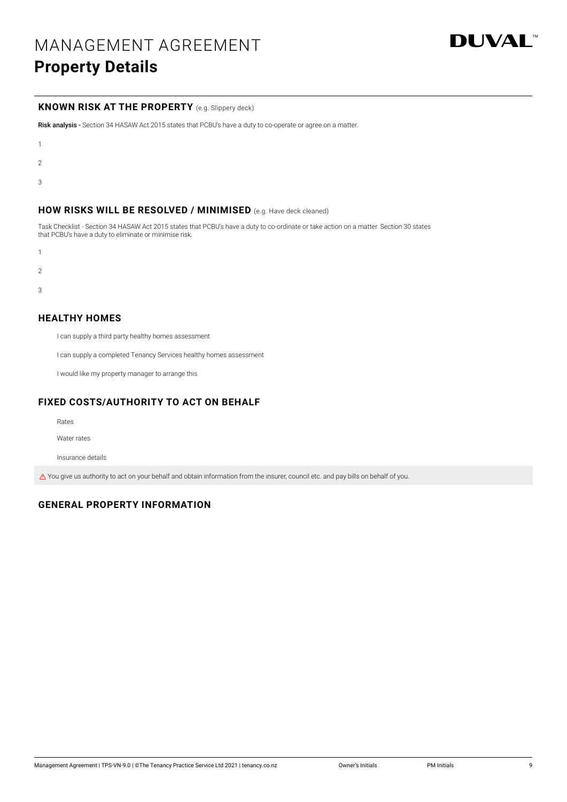

## **KNOWN RISK AT THE PROPERTY** (e.g. Slippery deck)

Risk analysis - Section 34 HASAW Act 2015 states that PCBU's have a duty to co-operate or agree on a matter.

- 1
- 
- 2
- 3

## **HOW RISKS WILL BE RESOLVED / MINIMISED** (e.g. Have deck cleaned)

Task Checklist - Section 34 HASAW Act 2015 states that PCBU's have a duty to co-ordinate or take action on a matter. Section 30 states that PCBU's have a duty to eliminate or minimise risk.

- 1
- 
- $\overline{2}$
- 3

## **HEALTHY HOMES**

I can supply a third party healthy homes assessment

I can supply a completed Tenancy Services healthy homes assessment

I would like my property manager to arrange this

## **FIXED COSTS/AUTHORITY TO ACT ON BEHALF**

Rates

Water rates

Insurance details

 $\triangle$  You give us authority to act on your behalf and obtain information from the insurer, council etc. and pay bills on behalf of you.

## **GENERAL PROPERTY INFORMATION**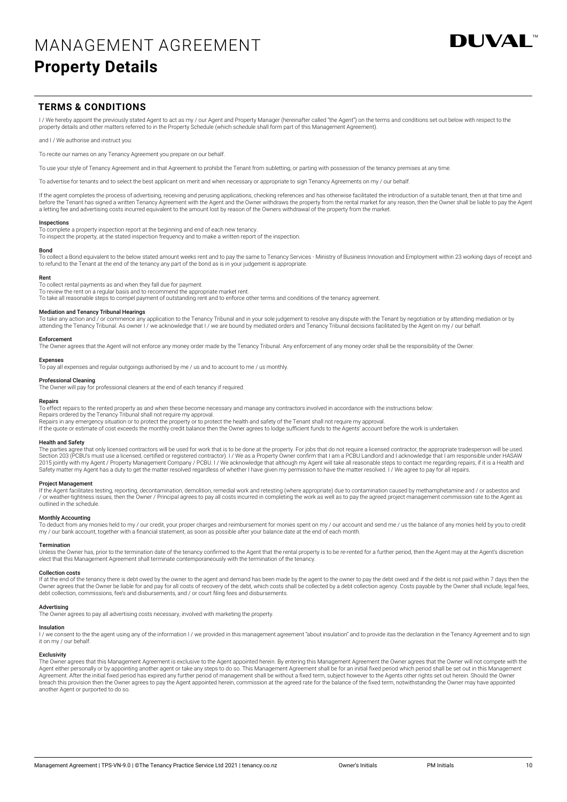

## **TERMS & CONDITIONS**

I / We hereby appoint the previously stated Agent to act as my / our Agent and Property Manager (hereinafter called "the Agent") on the terms and conditions set out below with respect to the property details and other matters referred to in the Property Schedule (which schedule shall form part of this Management Agreement).

and I / We authorise and instruct you:

To recite our names on any Tenancy Agreement you prepare on our behalf.

To use your style of Tenancy Agreement and in that Agreement to prohibit the Tenant from subletting, or parting with possession of the tenancy premises at any time

To advertise for tenants and to select the best applicant on merit and when necessary or appropriate to sign Tenancy Agreements on my / our behalf

If the agent completes the process of advertising, receiving and perusing applications, checking references and has otherwise facilitated the introduction of a suitable tenant, then at that time and before the Tenant has signed a written Tenancy Agreement with the Agent and the Owner withdraws the property from the rental market for any reason, then the Owner shall be liable to pay the Agent<br>a letting fee and advertis

#### Inspections

To complete a property inspection report at the beginning and end of each new tenancy.

To inspect the property, at the stated inspection frequency and to make a written report of the inspection.

#### Bond

To collect a Bond equivalent to the below stated amount weeks rent and to pay the same to Tenancy Services - Ministry of Business Innovation and Employment within 23 working days of receipt and to refund to the Tenant at the end of the tenancy any part of the bond as is in your judgement is appropriate.

#### Rent

To collect rental payments as and when they fall due for payment.

To review the rent on a regular basis and to recommend the appropriate market rent.

To take all reasonable steps to compel payment of outstanding rent and to enforce other terms and conditions of the tenancy agreement.

#### Mediation and Tenancy Tribunal Hearings

To take any action and / or commence any application to the Tenancy Tribunal and in your sole judgement to resolve any dispute with the Tenant by negotiation or by attending mediation or by attending the Tenancy Tribunal. As owner I / we acknowledge that I / we are bound by mediated orders and Tenancy Tribunal decisions facilitated by the Agent on my / our behalf

## Enforcement

The Owner agrees that the Agent will not enforce any money order made by the Tenancy Tribunal. Any enforcement of any money order shall be the responsibility of the Owner

#### Expenses

To pay all expenses and regular outgoings authorised by me / us and to account to me / us monthly.

#### Professional Cleaning

The Owner will pay for professional cleaners at the end of each tenancy if required.

#### Repairs

To effect repairs to the rented property as and when these become necessary and manage any contractors involved in accordance with the instructions below:

Repairs ordered by the Tenancy Tribunal shall not require my approval.

Repairs in any emergency situation or to protect the property or to protect the health and safety of the Tenant shall not require my approval. If the quote or estimate of cost exceeds the monthly credit balance then the Owner agrees to lodge sufficient funds to the Agents' account before the work is undertaken.

#### Health and Safety

The parties agree that only licensed contractors will be used for work that is to be done at the property. For jobs that do not require a licensed contractor, the appropriate tradesperson will be used. Section 203 (PCBU's must use a licensed, certified or registered contractor). I / We as a Property Owner confirm that I am a PCBU Landlord and I acknowledge that I am responsible under HASAW<br>2015 jointly with my Agent / Pr Safety matter my Agent has a duty to get the matter resolved regardless of whether I have given my permission to have the matter resolved. I / We agree to pay for all repairs.

### Project Management

If the Agent facilitates testing, reporting, decontamination, demolition, remedial work and retesting (where appropriate) due to contamination caused by methamphetamine and / or asbestos and<br>/ or weather-tightness issues, outlined in the schedule.

#### Monthly Accounting

To deduct from any monies held to my / our credit, your proper charges and reimbursement for monies spent on my / our account and send me / us the balance of any monies held by you to credit<br>my / our bank account, together

#### Termination

Unless the Owner has, prior to the termination date of the tenancy confirmed to the Agent that the rental property is to be re-rented for a further period, then the Agent may at the Agent's discretion elect that this Management Agreement shall terminate contemporaneously with the termination of the tenancy.

#### Collection costs

If at the end of the tenancy there is debt owed by the owner to the agent and demand has been made by the agent to the owner to pay the debt owed and if the debt is not paid within 7 days then the Owner agrees that the Owner be liable for and pay for all costs of recovery of the debt, which costs shall be collected by a debt collection agency. Costs payable by the Owner shall include, legal fees, debt collection, commissions, fee's and disbursements, and / or court filing fees and disbursements.

#### Advertising

The Owner agrees to pay all advertising costs necessary, involved with marketing the property.

**Insulation**<br>I / we consent to the the agent using any of the information I / we provided in this management agreement apgrement "about insulation" and to provide itas the declaration in the Tenancy Agreement and to sign it on my / our behalf.

#### Exclusivity

The Owner agrees that this Management Agreement is exclusive to the Agent appointed herein. By entering this Management Agreement the Owner agrees that the Owner will not compete with the<br>Agent either personally or by appo Agreement. After the initial fixed period has expired any further period of management shall be without a fixed term, subject however to the Agents other rights set out herein. Should the Owner breach this provision then the Owner agrees to pay the Agent appointed herein, commission at the agreed rate for the balance of the fixed term, notwithstanding the Owner may have appointed another Agent or purported to do so.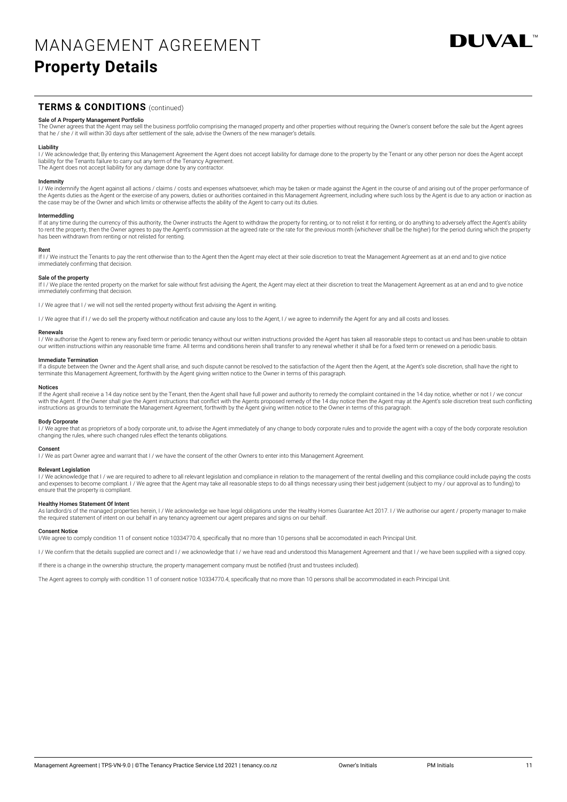

## **TERMS & CONDITIONS** (continued)

#### Sale of A Property Management Portfolio

The Owner agrees that the Agent may sell the business portfolio comprising the managed property and other properties without requiring the Owner's consent before the sale but the Agent agrees that he / she / it will within 30 days after settlement of the sale, advise the Owners of the new manager's details.

**Liability**<br>I / We acknowledge that; By entering this Management Agreement the Agent does not accept liability for damage done to the property by the Tenant or any other person nor does the Agent accept<br>Iiability for the T The Agent does not accept liability for any damage done by any contractor.

#### Indemnity

I / We indemnify the Agent against all actions / claims / costs and expenses whatsoever, which may be taken or made against the Agent in the course of and arising out of the proper performance of<br>the Agents duties as the A the case may be of the Owner and which limits or otherwise affects the ability of the Agent to carry out its duties.

## Intermeddling

If at any time during the currency of this authority, the Owner instructs the Agent to withdraw the property for renting, or to not relist it for renting, or do anything to adversely affect the Agent's ability<br>to rent the has been withdrawn from renting or not relisted for renting.

#### Rent

If I / We instruct the Tenants to pay the rent otherwise than to the Agent then the Agent may elect at their sole discretion to treat the Management Agreement as at an end and to give notice immediately confirming that decision.

### Sale of the property

If I / We place the rented property on the market for sale without first advising the Agent, the Agent may elect at their discretion to treat the Management Agreement as at an end and to give notice immediately confirming that decision.

I / We agree that I / we will not sell the rented property without first advising the Agent in writing

I / We agree that if I / we do sell the property without notification and cause any loss to the Agent, I / we agree to indemnify the Agent for any and all costs and losses.

#### Renewals

I/We authorise the Agent to renew any fixed term or periodic tenancy without our written instructions provided the Agent has taken all reasonable steps to contact us and has been unable to obtain our written instructions within any reasonable time frame. All terms and conditions herein shall transfer to any renewal whether it shall be for a fixed term or renewed on a periodic basis.

#### Immediate Termination

If a dispute between the Owner and the Agent shall arise, and such dispute cannot be resolved to the satisfaction of the Agent then the Agent, at the Agent's sole discretion, shall have the right to terminate this Management Agreement, forthwith by the Agent giving written notice to the Owner in terms of this paragraph.

#### Notices

If the Agent shall receive a 14 day notice sent by the Tenant, then the Agent shall have full power and authority to remedy the complaint contained in the 14 day notice, whether or not I / we concur with the Agent. If the Owner shall give the Agent instructions that conflict with the Agents proposed remedy of the 14 day notice then the Agent may at the Agent's sole discretion treat such conflicting instructions as grounds to terminate the Management Agreement, forthwith by the Agent giving written notice to the Owner in terms of this paragraph.

#### Body Corporate

I/We agree that as proprietors of a body corporate unit, to advise the Agent immediately of any change to body corporate rules and to provide the agent with a copy of the body corporate resolution changing the rules, where such changed rules effect the tenants obligations.

#### Consent

I / We as part Owner agree and warrant that I / we have the consent of the other Owners to enter into this Management Agreement.

#### **Relevant Legislation**

I / We acknowledge that I / we are required to adhere to all relevant legislation and compliance in relation to the management of the rental dwelling and this compliance could include paying the costs and expenses to become compliant. I / We agree that the Agent may take all reasonable steps to do all things necessary using their best judgement (subject to my / our approval as to funding) to ensure that the property is compliant.

**Healthy Homes Statement Of Intent**<br>As landlord/s of the managed properties herein, I / We acknowledge we have legal obligations under the Healthy Homes Guarantee Act 2017. I / We authorise our agent / property manager to the required statement of intent on our behalf in any tenancy agreement our agent prepares and signs on our behalf.

#### Consent Notice

I/We agree to comply condition 11 of consent notice 10334770.4, specifically that no more than 10 persons shall be accomodated in each Principal Unit.

I / We confirm that the details supplied are correct and I / we acknowledge that I / we have read and understood this Management Agreement and that I / we have been supplied with a signed copy.

If there is a change in the ownership structure, the property management company must be notified (trust and trustees included).

The Agent agrees to comply with condition 11 of consent notice 10334770.4, specifically that no more than 10 persons shall be accommodated in each Principal Unit.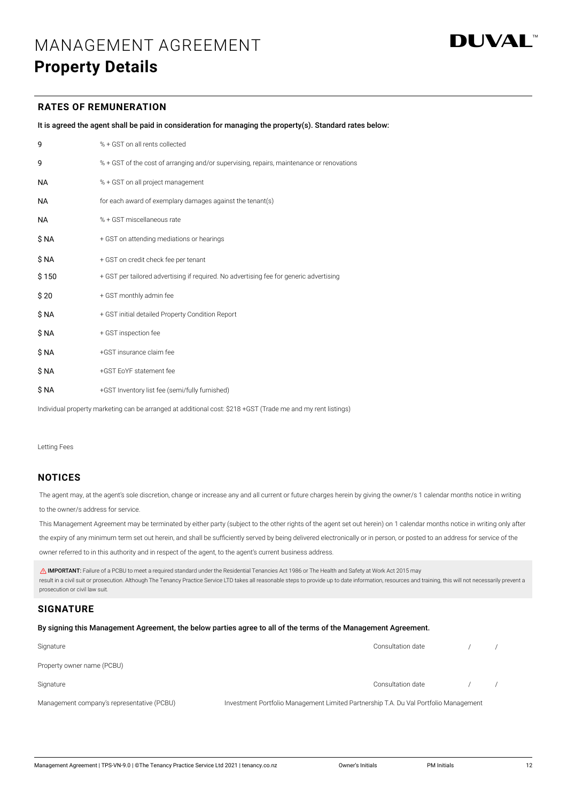

## **RATES OF REMUNERATION**

| It is agreed the agent shall be paid in consideration for managing the property(s). Standard rates below: |  |  |
|-----------------------------------------------------------------------------------------------------------|--|--|

| 9         | % + GST on all rents collected                                                           |
|-----------|------------------------------------------------------------------------------------------|
| 9         | % + GST of the cost of arranging and/or supervising, repairs, maintenance or renovations |
| <b>NA</b> | % + GST on all project management                                                        |
| <b>NA</b> | for each award of exemplary damages against the tenant(s)                                |
| <b>NA</b> | % + GST miscellaneous rate                                                               |
| \$ NA     | + GST on attending mediations or hearings                                                |
| \$ NA     | + GST on credit check fee per tenant                                                     |
| \$150     | + GST per tailored advertising if required. No advertising fee for generic advertising   |
| \$20      | + GST monthly admin fee                                                                  |
| \$ NA     | + GST initial detailed Property Condition Report                                         |
| \$ NA     | + GST inspection fee                                                                     |
| \$ NA     | +GST insurance claim fee                                                                 |
| \$ NA     | +GST EoYF statement fee                                                                  |
| \$ NA     | +GST Inventory list fee (semi/fully furnished)                                           |

Individual property marketing can be arranged at additional cost: \$218 +GST (Trade me and my rent listings)

Letting Fees

## **NOTICES**

The agent may, at the agent's sole discretion, change or increase any and all current or future charges herein by giving the owner/s 1 calendar months notice in writing to the owner/s address for service.

This Management Agreement may be terminated by either party (subject to the other rights of the agent set out herein) on 1 calendar months notice in writing only after

the expiry of any minimum term set out herein, and shall be sufficiently served by being delivered electronically or in person, or posted to an address for service of the

owner referred to in this authority and in respect of the agent, to the agent's current business address.

 IMPORTANT: Failure of a PCBU to meet a required standard under the Residential Tenancies Act 1986 or The Health and Safety at Work Act 2015 may result in a civil suit or prosecution. Although The Tenancy Practice Service LTD takes all reasonable steps to provide up to date information, resources and training, this will not necessarily prevent a prosecution or civil law suit.

## **SIGNATURE**

#### By signing this Management Agreement, the below parties agree to all of the terms of the Management Agreement.

| Signature                                  | Consultation date                                                                    |  |
|--------------------------------------------|--------------------------------------------------------------------------------------|--|
| Property owner name (PCBU)                 |                                                                                      |  |
| Signature                                  | Consultation date                                                                    |  |
| Management company's representative (PCBU) | Investment Portfolio Management Limited Partnership T.A. Du Val Portfolio Management |  |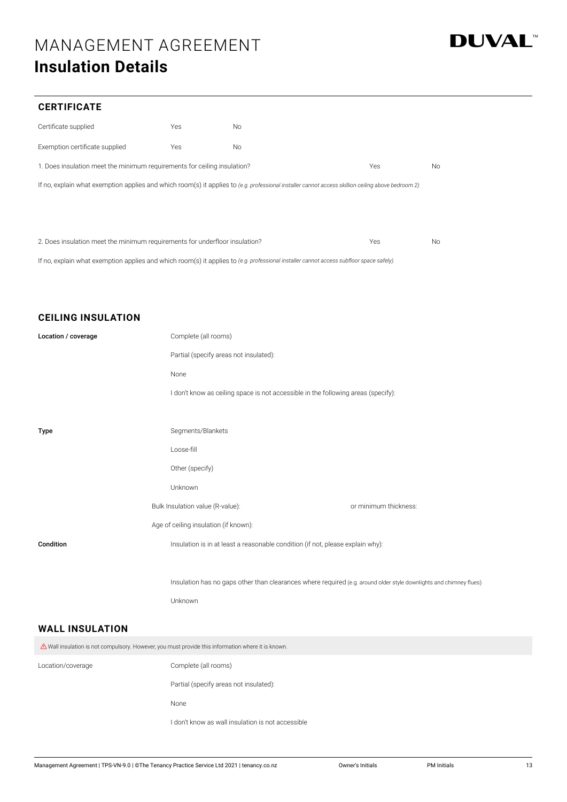## MANAGEMENT AGREEMENT **Insulation Details**



## **CERTIFICATE**

| Certificate supplied                                                                                                                               | Yes | <b>No</b> |     |           |  |
|----------------------------------------------------------------------------------------------------------------------------------------------------|-----|-----------|-----|-----------|--|
| Exemption certificate supplied                                                                                                                     | Yes | <b>No</b> |     |           |  |
| 1. Does insulation meet the minimum requirements for ceiling insulation?                                                                           |     |           | Yes | No        |  |
| If no, explain what exemption applies and which room(s) it applies to (e.g. professional installer cannot access skillion ceiling above bedroom 2) |     |           |     |           |  |
|                                                                                                                                                    |     |           |     |           |  |
|                                                                                                                                                    |     |           |     |           |  |
| 2. Does insulation meet the minimum requirements for underfloor insulation?                                                                        |     |           | Yes | <b>No</b> |  |

If no, explain what exemption applies and which room(s) it applies to *(e.g. professional installer cannot access subfloor space safely).*

## **CEILING INSULATION**

| Location / coverage                                                                                                                                                                                                                 | Complete (all rooms)                                                              |                                                                                                                    |  |  |  |  |
|-------------------------------------------------------------------------------------------------------------------------------------------------------------------------------------------------------------------------------------|-----------------------------------------------------------------------------------|--------------------------------------------------------------------------------------------------------------------|--|--|--|--|
|                                                                                                                                                                                                                                     | Partial (specify areas not insulated):                                            |                                                                                                                    |  |  |  |  |
|                                                                                                                                                                                                                                     | None                                                                              |                                                                                                                    |  |  |  |  |
|                                                                                                                                                                                                                                     | I don't know as ceiling space is not accessible in the following areas (specify): |                                                                                                                    |  |  |  |  |
|                                                                                                                                                                                                                                     |                                                                                   |                                                                                                                    |  |  |  |  |
| Type                                                                                                                                                                                                                                | Segments/Blankets                                                                 |                                                                                                                    |  |  |  |  |
|                                                                                                                                                                                                                                     | Loose-fill                                                                        |                                                                                                                    |  |  |  |  |
|                                                                                                                                                                                                                                     | Other (specify)                                                                   |                                                                                                                    |  |  |  |  |
|                                                                                                                                                                                                                                     | Unknown                                                                           |                                                                                                                    |  |  |  |  |
|                                                                                                                                                                                                                                     | Bulk Insulation value (R-value):                                                  | or minimum thickness:                                                                                              |  |  |  |  |
|                                                                                                                                                                                                                                     | Age of ceiling insulation (if known):                                             |                                                                                                                    |  |  |  |  |
| Condition                                                                                                                                                                                                                           | Insulation is in at least a reasonable condition (if not, please explain why):    |                                                                                                                    |  |  |  |  |
|                                                                                                                                                                                                                                     |                                                                                   |                                                                                                                    |  |  |  |  |
|                                                                                                                                                                                                                                     |                                                                                   | Insulation has no gaps other than clearances where required (e.g. around older style downlights and chimney flues) |  |  |  |  |
|                                                                                                                                                                                                                                     | Unknown                                                                           |                                                                                                                    |  |  |  |  |
| <b>WALL INSULATION</b>                                                                                                                                                                                                              |                                                                                   |                                                                                                                    |  |  |  |  |
| <b>A</b> Provident Contract Contract Contract Contract Contract Contract Contract Contract Contract Contract Contract Contract Contract Contract Contract Contract Contract Contract Contract Contract Contract Contract Contract C |                                                                                   |                                                                                                                    |  |  |  |  |

| $\triangle$ Wall insulation is not compulsory. However, you must provide this information where it is known. |                                                   |
|--------------------------------------------------------------------------------------------------------------|---------------------------------------------------|
| Location/coverage                                                                                            | Complete (all rooms)                              |
|                                                                                                              | Partial (specify areas not insulated):            |
|                                                                                                              | None                                              |
|                                                                                                              | I don't know as wall insulation is not accessible |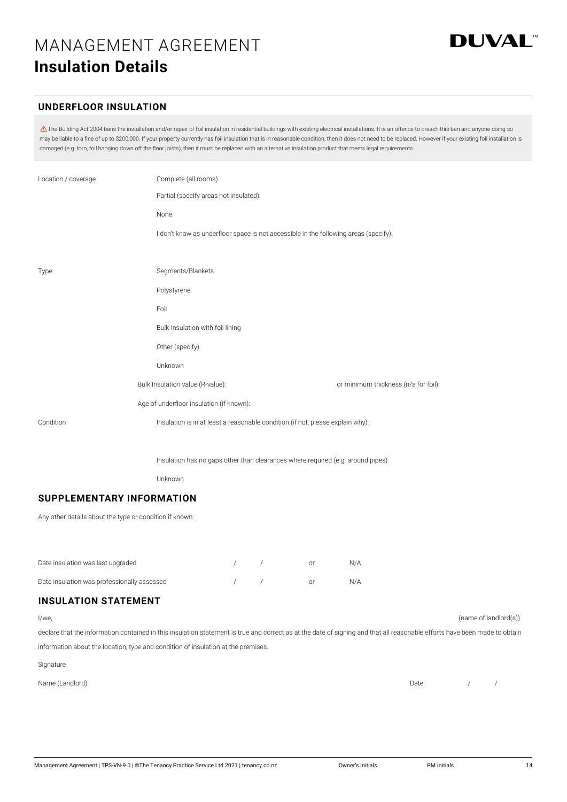## **UNDERFLOOR INSULATION**

 $\Delta$  The Building Act 2004 bans the installation and/or repair of foil insulation in residential buildings with existing electrical installations. It is an offence to breach this ban and anyone doing so may be liable to a fine of up to \$200,000. If your property currently has foil insulation that is in reasonable condition, then it does not need to be replaced. However if your existing foil installation is damaged (e.g. torn, foil hanging down off the floor joists), then it must be replaced with an alternative insulation product that meets legal requirements.

| Location / coverage | Complete (all rooms)                                                                 |                                      |
|---------------------|--------------------------------------------------------------------------------------|--------------------------------------|
|                     | Partial (specify areas not insulated):                                               |                                      |
|                     | None                                                                                 |                                      |
|                     | I don't know as underfloor space is not accessible in the following areas (specify): |                                      |
|                     |                                                                                      |                                      |
| Type                | Segments/Blankets                                                                    |                                      |
|                     | Polystyrene                                                                          |                                      |
|                     | Foil                                                                                 |                                      |
|                     | Bulk Insulation with foil lining                                                     |                                      |
|                     | Other (specify)                                                                      |                                      |
|                     | Unknown                                                                              |                                      |
|                     | Bulk Insulation value (R-value):                                                     | or minimum thickness (n/a for foil): |
|                     | Age of underfloor insulation (if known):                                             |                                      |
| Condition           | Insulation is in at least a reasonable condition (if not, please explain why):       |                                      |
|                     |                                                                                      |                                      |

Insulation has no gaps other than clearances where required (e.g. around pipes)

Unknown

## **SUPPLEMENTARY INFORMATION**

Any other details about the type or condition if known:

| Date insulation was last upgraded           |            | nr | N/A |
|---------------------------------------------|------------|----|-----|
| Date insulation was professionally assessed | $\sqrt{2}$ | ∩r | N/A |

## **INSULATION STATEMENT**

declare that the information contained in this insulation statement is true and correct as at the date of signing and that all reasonable efforts have been made to obtain information about the location, type and condition of insulation at the premises.

Signature

Name (Landlord) Date: Date: Date: Date: Date: Date: Date: Date: Date: Date: Date: Date: Date: Date: Date: Date: Date: Date: Date: Date: Date: Date: Date: Date: Date: Date: Date: Date: Date: Date: Date: Date: Date: Date: Da

I/we, (name of landlord(s))

/ /

**DUVAL**